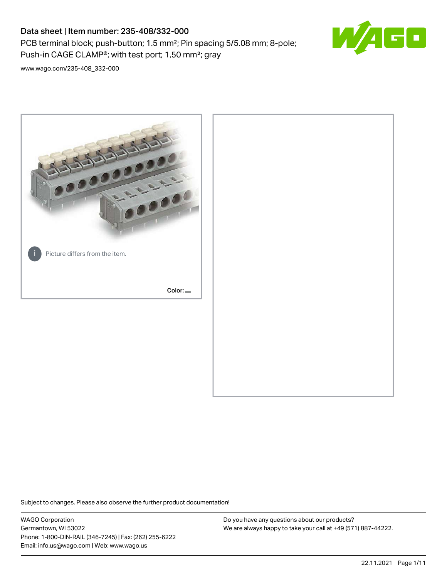PCB terminal block; push-button; 1.5 mm²; Pin spacing 5/5.08 mm; 8-pole; Push-in CAGE CLAMP®; with test port; 1,50 mm²; gray



[www.wago.com/235-408\\_332-000](http://www.wago.com/235-408_332-000)



Subject to changes. Please also observe the further product documentation!

WAGO Corporation Germantown, WI 53022 Phone: 1-800-DIN-RAIL (346-7245) | Fax: (262) 255-6222 Email: info.us@wago.com | Web: www.wago.us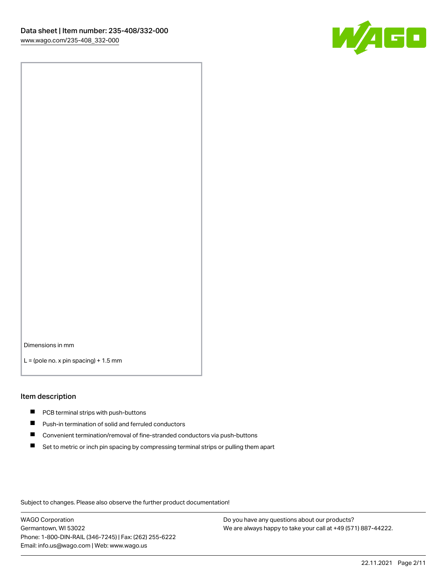

Dimensions in mm

 $L =$  (pole no. x pin spacing) + 1.5 mm

#### Item description

- **PCB terminal strips with push-buttons**
- **Push-in termination of solid and ferruled conductors**
- $\blacksquare$ Convenient termination/removal of fine-stranded conductors via push-buttons
- Set to metric or inch pin spacing by compressing terminal strips or pulling them apart

Subject to changes. Please also observe the further product documentation!

WAGO Corporation Germantown, WI 53022 Phone: 1-800-DIN-RAIL (346-7245) | Fax: (262) 255-6222 Email: info.us@wago.com | Web: www.wago.us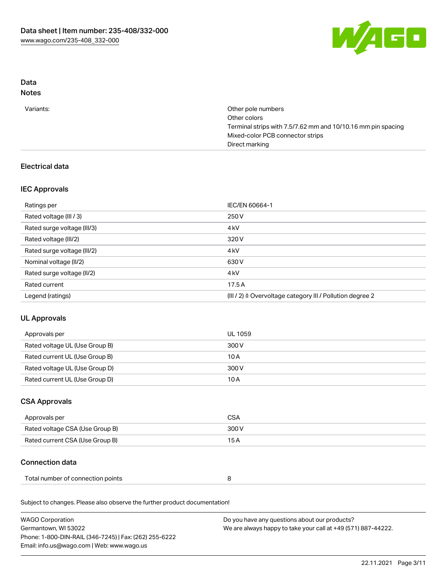

# Data

# Notes

| Variants: | Other pole numbers                                           |
|-----------|--------------------------------------------------------------|
|           | Other colors                                                 |
|           | Terminal strips with 7.5/7.62 mm and 10/10.16 mm pin spacing |
|           | Mixed-color PCB connector strips                             |
|           | Direct marking                                               |

## Electrical data

## IEC Approvals

| Ratings per                 | IEC/EN 60664-1                                            |
|-----------------------------|-----------------------------------------------------------|
| Rated voltage (III / 3)     | 250 V                                                     |
| Rated surge voltage (III/3) | 4 <sub>k</sub> V                                          |
| Rated voltage (III/2)       | 320 V                                                     |
| Rated surge voltage (III/2) | 4 <sub>k</sub> V                                          |
| Nominal voltage (II/2)      | 630 V                                                     |
| Rated surge voltage (II/2)  | 4 <sub>k</sub> V                                          |
| Rated current               | 17.5A                                                     |
| Legend (ratings)            | (III / 2) ≙ Overvoltage category III / Pollution degree 2 |

# UL Approvals

| Approvals per                  | UL 1059 |
|--------------------------------|---------|
| Rated voltage UL (Use Group B) | 300 V   |
| Rated current UL (Use Group B) | 10A     |
| Rated voltage UL (Use Group D) | 300 V   |
| Rated current UL (Use Group D) | 10 A    |

## CSA Approvals

| Approvals per                   | CSA   |
|---------------------------------|-------|
| Rated voltage CSA (Use Group B) | 300 V |
| Rated current CSA (Use Group B) | 15 A  |

## Connection data

| Total number of connection points |  |  |
|-----------------------------------|--|--|
|-----------------------------------|--|--|

Subject to changes. Please also observe the further product documentation!

| <b>WAGO Corporation</b>                                | Do you have any questions about our products?                 |
|--------------------------------------------------------|---------------------------------------------------------------|
| Germantown, WI 53022                                   | We are always happy to take your call at +49 (571) 887-44222. |
| Phone: 1-800-DIN-RAIL (346-7245)   Fax: (262) 255-6222 |                                                               |
| Email: info.us@wago.com   Web: www.wago.us             |                                                               |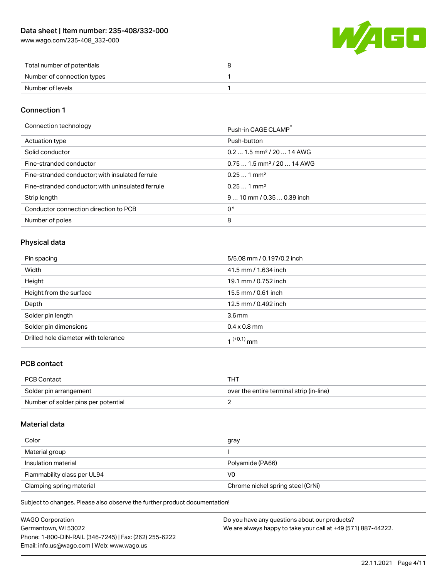[www.wago.com/235-408\\_332-000](http://www.wago.com/235-408_332-000)



| Total number of potentials |  |
|----------------------------|--|
| Number of connection types |  |
| Number of levels           |  |

#### Connection 1

Connection technology example and the connection technology example and the connection technology

|                                                   | PUSH-III CAUL CLAMP                    |
|---------------------------------------------------|----------------------------------------|
| Actuation type                                    | Push-button                            |
| Solid conductor                                   | $0.21.5$ mm <sup>2</sup> / 20  14 AWG  |
| Fine-stranded conductor                           | $0.751.5$ mm <sup>2</sup> / 20  14 AWG |
| Fine-stranded conductor; with insulated ferrule   | $0.251$ mm <sup>2</sup>                |
| Fine-stranded conductor; with uninsulated ferrule | $0.251$ mm <sup>2</sup>                |
| Strip length                                      | $910$ mm / 0.35  0.39 inch             |
| Conductor connection direction to PCB             | 0°                                     |
| Number of poles                                   | 8                                      |

## Physical data

| Pin spacing                          | 5/5.08 mm / 0.197/0.2 inch |
|--------------------------------------|----------------------------|
| Width                                | 41.5 mm / 1.634 inch       |
| Height                               | 19.1 mm / 0.752 inch       |
| Height from the surface              | 15.5 mm / 0.61 inch        |
| Depth                                | 12.5 mm / 0.492 inch       |
| Solder pin length                    | 3.6 <sub>mm</sub>          |
| Solder pin dimensions                | $0.4 \times 0.8$ mm        |
| Drilled hole diameter with tolerance | $1^{(+0.1)}$ mm            |

## PCB contact

| PCB Contact                         | тнт                                      |
|-------------------------------------|------------------------------------------|
| Solder pin arrangement              | over the entire terminal strip (in-line) |
| Number of solder pins per potential |                                          |

#### Material data

| Color                       | gray                              |
|-----------------------------|-----------------------------------|
| Material group              |                                   |
| Insulation material         | Polyamide (PA66)                  |
| Flammability class per UL94 | V0                                |
| Clamping spring material    | Chrome nickel spring steel (CrNi) |

Subject to changes. Please also observe the further product documentation!

| <b>WAGO Corporation</b>                                | Do you have any questions about our products?                 |
|--------------------------------------------------------|---------------------------------------------------------------|
| Germantown, WI 53022                                   | We are always happy to take your call at +49 (571) 887-44222. |
| Phone: 1-800-DIN-RAIL (346-7245)   Fax: (262) 255-6222 |                                                               |
| Email: info.us@wago.com   Web: www.wago.us             |                                                               |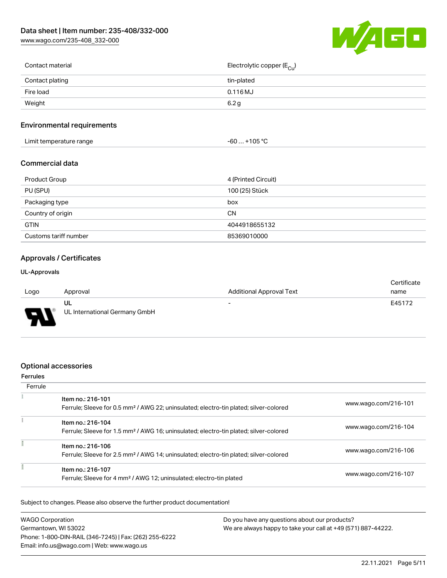[www.wago.com/235-408\\_332-000](http://www.wago.com/235-408_332-000)



| Contact material | Electrolytic copper ( $E_{\text{Cu}}$ ) |
|------------------|-----------------------------------------|
| Contact plating  | tin-plated                              |
| Fire load        | $0.116$ MJ                              |
| Weight           | 6.2 <sub>q</sub>                        |
|                  |                                         |

#### Environmental requirements

| +105 °C<br>Limit temperature range<br>-60 |  |
|-------------------------------------------|--|
|-------------------------------------------|--|

#### Commercial data

| Product Group         | 4 (Printed Circuit) |
|-----------------------|---------------------|
| PU (SPU)              | 100 (25) Stück      |
| Packaging type        | box                 |
| Country of origin     | CΝ                  |
| <b>GTIN</b>           | 4044918655132       |
| Customs tariff number | 85369010000         |

## Approvals / Certificates

#### UL-Approvals

|      |                               |                                 | Certificate |
|------|-------------------------------|---------------------------------|-------------|
| Logo | Approval                      | <b>Additional Approval Text</b> | name        |
|      | UL                            | $\overline{\phantom{0}}$        | E45172      |
| J    | UL International Germany GmbH |                                 |             |

#### Optional accessories

#### Ferrules **Ferrule**  $\tilde{\chi}$ Item no.: 216-101 Ferrule; Sleeve for 0.5 mm² / AWG 22; uninsulated; electro-tin plated; silver-colored [www.wago.com/216-101](http://www.wago.com/216-101)  $\frac{1}{2}$ Item no.: 216-104 Ferrule; Sleeve for 1.5 mm² / AWG 16; uninsulated; electro-tin plated; silver-colored [www.wago.com/216-104](http://www.wago.com/216-104) f  $I$ tem no $.216 - 106$

| <u>ILEIII IIO.: 2 I 0- I UD</u><br>Ferrule; Sleeve for 2.5 mm <sup>2</sup> / AWG 14; uninsulated; electro-tin plated; silver-colored | www.wago.com/216-106 |
|--------------------------------------------------------------------------------------------------------------------------------------|----------------------|
| Item no.: 216-107<br>Ferrule; Sleeve for 4 mm <sup>2</sup> / AWG 12; uninsulated; electro-tin plated                                 | www.wago.com/216-107 |

Subject to changes. Please also observe the further product documentation!

| <b>WAGO Corporation</b>                                | Do you have any questions about our products?                 |
|--------------------------------------------------------|---------------------------------------------------------------|
| Germantown, WI 53022                                   | We are always happy to take your call at +49 (571) 887-44222. |
| Phone: 1-800-DIN-RAIL (346-7245)   Fax: (262) 255-6222 |                                                               |
| Email: info.us@wago.com   Web: www.wago.us             |                                                               |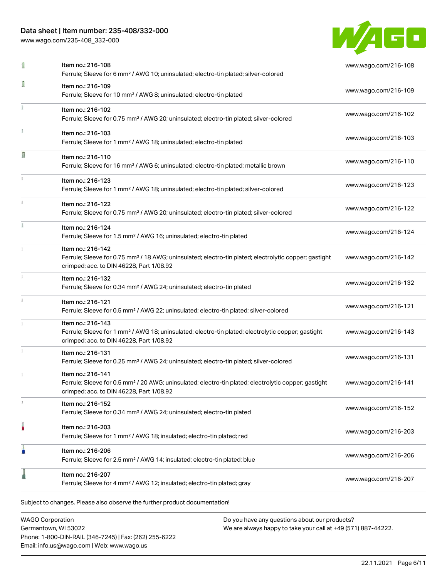[www.wago.com/235-408\\_332-000](http://www.wago.com/235-408_332-000)



| I | Item no.: 216-108<br>Ferrule; Sleeve for 6 mm <sup>2</sup> / AWG 10; uninsulated; electro-tin plated; silver-colored                                                               | www.wago.com/216-108 |
|---|------------------------------------------------------------------------------------------------------------------------------------------------------------------------------------|----------------------|
| I | Item no.: 216-109<br>Ferrule; Sleeve for 10 mm <sup>2</sup> / AWG 8; uninsulated; electro-tin plated                                                                               | www.wago.com/216-109 |
|   | Item no.: 216-102<br>Ferrule; Sleeve for 0.75 mm <sup>2</sup> / AWG 20; uninsulated; electro-tin plated; silver-colored                                                            | www.wago.com/216-102 |
|   | Item no.: 216-103<br>Ferrule; Sleeve for 1 mm <sup>2</sup> / AWG 18; uninsulated; electro-tin plated                                                                               | www.wago.com/216-103 |
| Π | Item no.: 216-110<br>Ferrule; Sleeve for 16 mm <sup>2</sup> / AWG 6; uninsulated; electro-tin plated; metallic brown                                                               | www.wago.com/216-110 |
|   | Item no.: 216-123<br>Ferrule; Sleeve for 1 mm <sup>2</sup> / AWG 18; uninsulated; electro-tin plated; silver-colored                                                               | www.wago.com/216-123 |
|   | Item no.: 216-122<br>Ferrule; Sleeve for 0.75 mm <sup>2</sup> / AWG 20; uninsulated; electro-tin plated; silver-colored                                                            | www.wago.com/216-122 |
|   | Item no.: 216-124<br>Ferrule; Sleeve for 1.5 mm <sup>2</sup> / AWG 16; uninsulated; electro-tin plated                                                                             | www.wago.com/216-124 |
|   | Item no.: 216-142<br>Ferrule; Sleeve for 0.75 mm <sup>2</sup> / 18 AWG; uninsulated; electro-tin plated; electrolytic copper; gastight<br>crimped; acc. to DIN 46228, Part 1/08.92 | www.wago.com/216-142 |
|   | Item no.: 216-132<br>Ferrule; Sleeve for 0.34 mm <sup>2</sup> / AWG 24; uninsulated; electro-tin plated                                                                            | www.wago.com/216-132 |
|   | Item no.: 216-121<br>Ferrule; Sleeve for 0.5 mm <sup>2</sup> / AWG 22; uninsulated; electro-tin plated; silver-colored                                                             | www.wago.com/216-121 |
|   | Item no.: 216-143<br>Ferrule; Sleeve for 1 mm <sup>2</sup> / AWG 18; uninsulated; electro-tin plated; electrolytic copper; gastight<br>crimped; acc. to DIN 46228, Part 1/08.92    | www.wago.com/216-143 |
|   | Item no.: 216-131<br>Ferrule; Sleeve for 0.25 mm <sup>2</sup> / AWG 24; uninsulated; electro-tin plated; silver-colored                                                            | www.wago.com/216-131 |
|   | Item no.: 216-141<br>Ferrule; Sleeve for 0.5 mm <sup>2</sup> / 20 AWG; uninsulated; electro-tin plated; electrolytic copper; gastight<br>crimped; acc. to DIN 46228, Part 1/08.92  | www.wago.com/216-141 |
|   | Item no.: 216-152<br>Ferrule; Sleeve for 0.34 mm <sup>2</sup> / AWG 24; uninsulated; electro-tin plated                                                                            | www.wago.com/216-152 |
|   | Item no.: 216-203<br>Ferrule; Sleeve for 1 mm <sup>2</sup> / AWG 18; insulated; electro-tin plated; red                                                                            | www.wago.com/216-203 |
| I | Item no.: 216-206<br>Ferrule; Sleeve for 2.5 mm <sup>2</sup> / AWG 14; insulated; electro-tin plated; blue                                                                         | www.wago.com/216-206 |
|   | Item no.: 216-207<br>Ferrule; Sleeve for 4 mm <sup>2</sup> / AWG 12; insulated; electro-tin plated; gray                                                                           | www.wago.com/216-207 |

WAGO Corporation Germantown, WI 53022 Phone: 1-800-DIN-RAIL (346-7245) | Fax: (262) 255-6222 Email: info.us@wago.com | Web: www.wago.us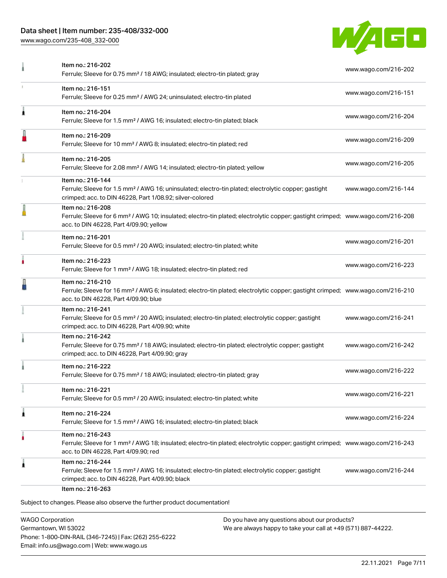[www.wago.com/235-408\\_332-000](http://www.wago.com/235-408_332-000)



| Item no.: 216-151                                                                                                                                                                                 |                                                                                                                                                                                                                                                                                                                                                                                                                                                             |
|---------------------------------------------------------------------------------------------------------------------------------------------------------------------------------------------------|-------------------------------------------------------------------------------------------------------------------------------------------------------------------------------------------------------------------------------------------------------------------------------------------------------------------------------------------------------------------------------------------------------------------------------------------------------------|
| Ferrule; Sleeve for 0.25 mm <sup>2</sup> / AWG 24; uninsulated; electro-tin plated                                                                                                                | www.wago.com/216-151                                                                                                                                                                                                                                                                                                                                                                                                                                        |
| Item no.: 216-204<br>Ferrule; Sleeve for 1.5 mm <sup>2</sup> / AWG 16; insulated; electro-tin plated; black                                                                                       | www.wago.com/216-204                                                                                                                                                                                                                                                                                                                                                                                                                                        |
| Item no.: 216-209<br>Ferrule; Sleeve for 10 mm <sup>2</sup> / AWG 8; insulated; electro-tin plated; red                                                                                           | www.wago.com/216-209                                                                                                                                                                                                                                                                                                                                                                                                                                        |
| Item no.: 216-205<br>Ferrule; Sleeve for 2.08 mm <sup>2</sup> / AWG 14; insulated; electro-tin plated; yellow                                                                                     | www.wago.com/216-205                                                                                                                                                                                                                                                                                                                                                                                                                                        |
| Item no.: 216-144<br>Ferrule; Sleeve for 1.5 mm <sup>2</sup> / AWG 16; uninsulated; electro-tin plated; electrolytic copper; gastight<br>crimped; acc. to DIN 46228, Part 1/08.92; silver-colored | www.wago.com/216-144                                                                                                                                                                                                                                                                                                                                                                                                                                        |
| Item no.: 216-208<br>acc. to DIN 46228, Part 4/09.90; yellow                                                                                                                                      |                                                                                                                                                                                                                                                                                                                                                                                                                                                             |
| Item no.: 216-201<br>Ferrule; Sleeve for 0.5 mm <sup>2</sup> / 20 AWG; insulated; electro-tin plated; white                                                                                       | www.wago.com/216-201                                                                                                                                                                                                                                                                                                                                                                                                                                        |
| Item no.: 216-223<br>Ferrule; Sleeve for 1 mm <sup>2</sup> / AWG 18; insulated; electro-tin plated; red                                                                                           | www.wago.com/216-223                                                                                                                                                                                                                                                                                                                                                                                                                                        |
| Item no.: 216-210<br>acc. to DIN 46228, Part 4/09.90; blue                                                                                                                                        |                                                                                                                                                                                                                                                                                                                                                                                                                                                             |
| Item no.: 216-241<br>Ferrule; Sleeve for 0.5 mm <sup>2</sup> / 20 AWG; insulated; electro-tin plated; electrolytic copper; gastight<br>crimped; acc. to DIN 46228, Part 4/09.90; white            | www.wago.com/216-241                                                                                                                                                                                                                                                                                                                                                                                                                                        |
| Item no.: 216-242<br>Ferrule; Sleeve for 0.75 mm <sup>2</sup> / 18 AWG; insulated; electro-tin plated; electrolytic copper; gastight<br>crimped; acc. to DIN 46228, Part 4/09.90; gray            | www.wago.com/216-242                                                                                                                                                                                                                                                                                                                                                                                                                                        |
| Item no.: 216-222<br>Ferrule; Sleeve for 0.75 mm <sup>2</sup> / 18 AWG; insulated; electro-tin plated; gray                                                                                       | www.wago.com/216-222                                                                                                                                                                                                                                                                                                                                                                                                                                        |
| ltem no.: 216-221<br>Ferrule; Sleeve for 0.5 mm <sup>2</sup> / 20 AWG; insulated; electro-tin plated; white                                                                                       | www.wago.com/216-221                                                                                                                                                                                                                                                                                                                                                                                                                                        |
| Item no.: 216-224<br>Ferrule; Sleeve for 1.5 mm <sup>2</sup> / AWG 16; insulated; electro-tin plated; black                                                                                       | www.wago.com/216-224                                                                                                                                                                                                                                                                                                                                                                                                                                        |
| Item no.: 216-243<br>acc. to DIN 46228, Part 4/09.90; red                                                                                                                                         |                                                                                                                                                                                                                                                                                                                                                                                                                                                             |
| Item no.: 216-244<br>Ferrule; Sleeve for 1.5 mm <sup>2</sup> / AWG 16; insulated; electro-tin plated; electrolytic copper; gastight<br>crimped; acc. to DIN 46228, Part 4/09.90; black            | www.wago.com/216-244                                                                                                                                                                                                                                                                                                                                                                                                                                        |
|                                                                                                                                                                                                   | Ferrule; Sleeve for 6 mm <sup>2</sup> / AWG 10; insulated; electro-tin plated; electrolytic copper; gastight crimped; www.wago.com/216-208<br>Ferrule; Sleeve for 16 mm <sup>2</sup> / AWG 6; insulated; electro-tin plated; electrolytic copper; gastight crimped; www.wago.com/216-210<br>Ferrule; Sleeve for 1 mm <sup>2</sup> / AWG 18; insulated; electro-tin plated; electrolytic copper; gastight crimped; www.wago.com/216-243<br>Item no.: 216-263 |

WAGO Corporation Germantown, WI 53022 Phone: 1-800-DIN-RAIL (346-7245) | Fax: (262) 255-6222 Email: info.us@wago.com | Web: www.wago.us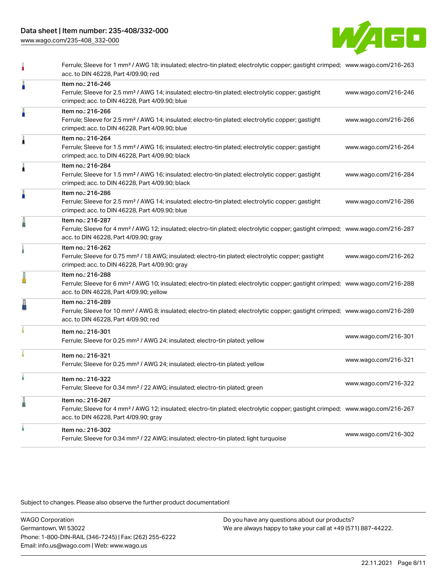[www.wago.com/235-408\\_332-000](http://www.wago.com/235-408_332-000)



|   | Ferrule; Sleeve for 1 mm <sup>2</sup> / AWG 18; insulated; electro-tin plated; electrolytic copper; gastight crimped; www.wago.com/216-263<br>acc. to DIN 46228, Part 4/09.90; red                         |                      |
|---|------------------------------------------------------------------------------------------------------------------------------------------------------------------------------------------------------------|----------------------|
| Å | Item no.: 216-246<br>Ferrule; Sleeve for 2.5 mm <sup>2</sup> / AWG 14; insulated; electro-tin plated; electrolytic copper; gastight<br>crimped; acc. to DIN 46228, Part 4/09.90; blue                      | www.wago.com/216-246 |
| Å | Item no.: 216-266<br>Ferrule; Sleeve for 2.5 mm <sup>2</sup> / AWG 14; insulated; electro-tin plated; electrolytic copper; gastight<br>crimped; acc. to DIN 46228, Part 4/09.90; blue                      | www.wago.com/216-266 |
| Â | Item no.: 216-264<br>Ferrule; Sleeve for 1.5 mm <sup>2</sup> / AWG 16; insulated; electro-tin plated; electrolytic copper; gastight<br>crimped; acc. to DIN 46228, Part 4/09.90; black                     | www.wago.com/216-264 |
| Â | Item no.: 216-284<br>Ferrule; Sleeve for 1.5 mm <sup>2</sup> / AWG 16; insulated; electro-tin plated; electrolytic copper; gastight<br>crimped; acc. to DIN 46228, Part 4/09.90; black                     | www.wago.com/216-284 |
| I | Item no.: 216-286<br>Ferrule; Sleeve for 2.5 mm <sup>2</sup> / AWG 14; insulated; electro-tin plated; electrolytic copper; gastight<br>crimped; acc. to DIN 46228, Part 4/09.90; blue                      | www.wago.com/216-286 |
| I | Item no.: 216-287<br>Ferrule; Sleeve for 4 mm <sup>2</sup> / AWG 12; insulated; electro-tin plated; electrolytic copper; gastight crimped; www.wago.com/216-287<br>acc. to DIN 46228, Part 4/09.90; gray   |                      |
|   | Item no.: 216-262<br>Ferrule; Sleeve for 0.75 mm <sup>2</sup> / 18 AWG; insulated; electro-tin plated; electrolytic copper; gastight<br>crimped; acc. to DIN 46228, Part 4/09.90; gray                     | www.wago.com/216-262 |
|   | Item no.: 216-288<br>Ferrule; Sleeve for 6 mm <sup>2</sup> / AWG 10; insulated; electro-tin plated; electrolytic copper; gastight crimped; www.wago.com/216-288<br>acc. to DIN 46228, Part 4/09.90; yellow |                      |
| ł | Item no.: 216-289<br>Ferrule; Sleeve for 10 mm <sup>2</sup> / AWG 8; insulated; electro-tin plated; electrolytic copper; gastight crimped; www.wago.com/216-289<br>acc. to DIN 46228, Part 4/09.90; red    |                      |
|   | Item no.: 216-301<br>Ferrule; Sleeve for 0.25 mm <sup>2</sup> / AWG 24; insulated; electro-tin plated; yellow                                                                                              | www.wago.com/216-301 |
|   | Item no.: 216-321<br>Ferrule; Sleeve for 0.25 mm <sup>2</sup> / AWG 24; insulated; electro-tin plated; yellow                                                                                              | www.wago.com/216-321 |
|   | Item no.: 216-322<br>Ferrule; Sleeve for 0.34 mm <sup>2</sup> / 22 AWG; insulated; electro-tin plated; green                                                                                               | www.wago.com/216-322 |
| l | Item no.: 216-267<br>Ferrule; Sleeve for 4 mm <sup>2</sup> / AWG 12; insulated; electro-tin plated; electrolytic copper; gastight crimped; www.wago.com/216-267<br>acc. to DIN 46228, Part 4/09.90; gray   |                      |
|   | Item no.: 216-302<br>Ferrule; Sleeve for 0.34 mm <sup>2</sup> / 22 AWG; insulated; electro-tin plated; light turquoise                                                                                     | www.wago.com/216-302 |
|   |                                                                                                                                                                                                            |                      |

Subject to changes. Please also observe the further product documentation!

WAGO Corporation Germantown, WI 53022 Phone: 1-800-DIN-RAIL (346-7245) | Fax: (262) 255-6222 Email: info.us@wago.com | Web: www.wago.us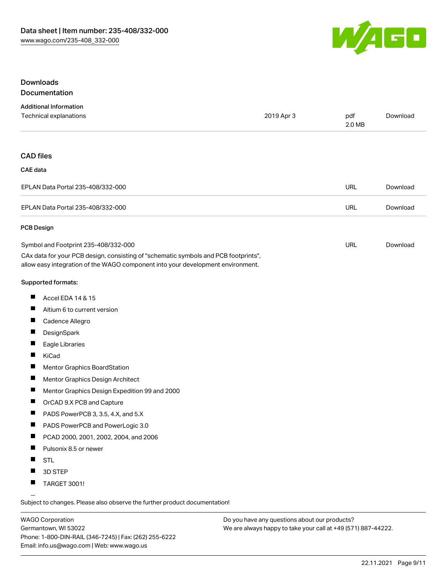

### Downloads Documentation

| <b>Additional Information</b>                                                                                                                                          |            |               |          |
|------------------------------------------------------------------------------------------------------------------------------------------------------------------------|------------|---------------|----------|
| Technical explanations                                                                                                                                                 | 2019 Apr 3 | pdf<br>2.0 MB | Download |
|                                                                                                                                                                        |            |               |          |
| <b>CAD files</b>                                                                                                                                                       |            |               |          |
| <b>CAE</b> data                                                                                                                                                        |            |               |          |
| EPLAN Data Portal 235-408/332-000                                                                                                                                      |            | <b>URL</b>    | Download |
| EPLAN Data Portal 235-408/332-000                                                                                                                                      |            | <b>URL</b>    | Download |
| <b>PCB Design</b>                                                                                                                                                      |            |               |          |
| Symbol and Footprint 235-408/332-000                                                                                                                                   |            | <b>URL</b>    | Download |
| CAx data for your PCB design, consisting of "schematic symbols and PCB footprints",<br>allow easy integration of the WAGO component into your development environment. |            |               |          |
| <b>Supported formats:</b>                                                                                                                                              |            |               |          |
| <b>The State</b><br>Accel EDA 14 & 15                                                                                                                                  |            |               |          |
| <b>The Contract</b>                                                                                                                                                    |            |               |          |

- Altium 6 to current version
- $\blacksquare$ Cadence Allegro
- $\blacksquare$ **DesignSpark**
- $\blacksquare$ Eagle Libraries
- $\blacksquare$ KiCad
- $\blacksquare$ Mentor Graphics BoardStation
- $\blacksquare$ Mentor Graphics Design Architect
- $\blacksquare$ Mentor Graphics Design Expedition 99 and 2000
- $\blacksquare$ OrCAD 9.X PCB and Capture
- $\blacksquare$ PADS PowerPCB 3, 3.5, 4.X, and 5.X
- $\blacksquare$ PADS PowerPCB and PowerLogic 3.0
- $\blacksquare$ PCAD 2000, 2001, 2002, 2004, and 2006
- $\blacksquare$ Pulsonix 8.5 or newer
- $\blacksquare$ STL
- $\blacksquare$ 3D STEP
- $\blacksquare$ TARGET 3001!

Subject to changes. Please also observe the further product documentation!

WAGO Corporation Germantown, WI 53022 Phone: 1-800-DIN-RAIL (346-7245) | Fax: (262) 255-6222 Email: info.us@wago.com | Web: www.wago.us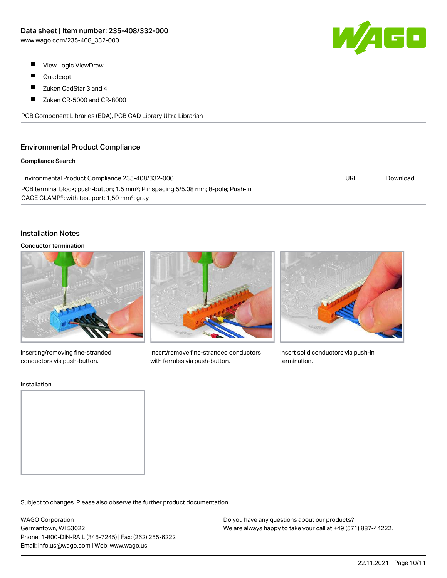W/AGO

- $\blacksquare$ View Logic ViewDraw
- $\blacksquare$ Quadcept
- $\blacksquare$ Zuken CadStar 3 and 4
- $\blacksquare$ Zuken CR-5000 and CR-8000

PCB Component Libraries (EDA), PCB CAD Library Ultra Librarian

## Environmental Product Compliance

#### Compliance Search

| Environmental Product Compliance 235-408/332-000                                                                                                                       | URL | Download |
|------------------------------------------------------------------------------------------------------------------------------------------------------------------------|-----|----------|
| PCB terminal block; push-button; 1.5 mm <sup>2</sup> ; Pin spacing 5/5.08 mm; 8-pole; Push-in<br>CAGE CLAMP <sup>®</sup> ; with test port; 1,50 mm <sup>2</sup> ; gray |     |          |

### Installation Notes

#### Conductor termination



Inserting/removing fine-stranded conductors via push-button.



Insert/remove fine-stranded conductors with ferrules via push-button.



Insert solid conductors via push-in termination.

#### Installation



Subject to changes. Please also observe the further product documentation!

WAGO Corporation Germantown, WI 53022 Phone: 1-800-DIN-RAIL (346-7245) | Fax: (262) 255-6222 Email: info.us@wago.com | Web: www.wago.us